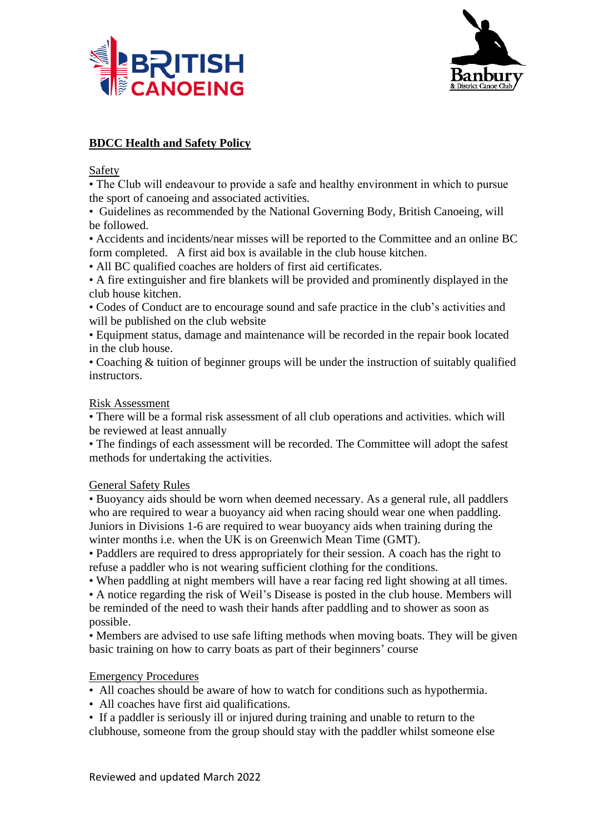



# **BDCC Health and Safety Policy**

Safety

• The Club will endeavour to provide a safe and healthy environment in which to pursue the sport of canoeing and associated activities.

• Guidelines as recommended by the National Governing Body, British Canoeing, will be followed.

• Accidents and incidents/near misses will be reported to the Committee and an online BC form completed. A first aid box is available in the club house kitchen.

• All BC qualified coaches are holders of first aid certificates.

• A fire extinguisher and fire blankets will be provided and prominently displayed in the club house kitchen.

• Codes of Conduct are to encourage sound and safe practice in the club's activities and will be published on the club website

• Equipment status, damage and maintenance will be recorded in the repair book located in the club house.

• Coaching & tuition of beginner groups will be under the instruction of suitably qualified instructors.

### Risk Assessment

• There will be a formal risk assessment of all club operations and activities. which will be reviewed at least annually

• The findings of each assessment will be recorded. The Committee will adopt the safest methods for undertaking the activities.

## General Safety Rules

• Buoyancy aids should be worn when deemed necessary. As a general rule, all paddlers who are required to wear a buoyancy aid when racing should wear one when paddling. Juniors in Divisions 1-6 are required to wear buoyancy aids when training during the winter months i.e. when the UK is on Greenwich Mean Time (GMT).

• Paddlers are required to dress appropriately for their session. A coach has the right to refuse a paddler who is not wearing sufficient clothing for the conditions.

• When paddling at night members will have a rear facing red light showing at all times.

• A notice regarding the risk of Weil's Disease is posted in the club house. Members will be reminded of the need to wash their hands after paddling and to shower as soon as possible.

• Members are advised to use safe lifting methods when moving boats. They will be given basic training on how to carry boats as part of their beginners' course

## Emergency Procedures

• All coaches should be aware of how to watch for conditions such as hypothermia.

• All coaches have first aid qualifications.

• If a paddler is seriously ill or injured during training and unable to return to the clubhouse, someone from the group should stay with the paddler whilst someone else